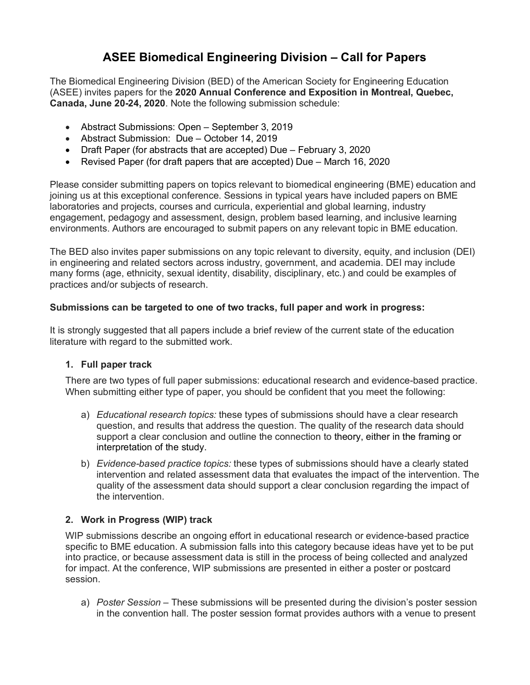# **ASEE Biomedical Engineering Division – Call for Papers**

The Biomedical Engineering Division (BED) of the American Society for Engineering Education (ASEE) invites papers for the **2020 Annual Conference and Exposition in Montreal, Quebec, Canada, June 20-24, 2020**. Note the following submission schedule:

- Abstract Submissions: Open September 3, 2019
- Abstract Submission: Due October 14, 2019
- Draft Paper (for abstracts that are accepted) Due February 3, 2020
- Revised Paper (for draft papers that are accepted) Due March 16, 2020

Please consider submitting papers on topics relevant to biomedical engineering (BME) education and joining us at this exceptional conference. Sessions in typical years have included papers on BME laboratories and projects, courses and curricula, experiential and global learning, industry engagement, pedagogy and assessment, design, problem based learning, and inclusive learning environments. Authors are encouraged to submit papers on any relevant topic in BME education.

The BED also invites paper submissions on any topic relevant to diversity, equity, and inclusion (DEI) in engineering and related sectors across industry, government, and academia. DEI may include many forms (age, ethnicity, sexual identity, disability, disciplinary, etc.) and could be examples of practices and/or subjects of research.

# **Submissions can be targeted to one of two tracks, full paper and work in progress:**

It is strongly suggested that all papers include a brief review of the current state of the education literature with regard to the submitted work.

# **1. Full paper track**

There are two types of full paper submissions: educational research and evidence-based practice. When submitting either type of paper, you should be confident that you meet the following:

- a) *Educational research topics:* these types of submissions should have a clear research question, and results that address the question. The quality of the research data should support a clear conclusion and outline the connection to theory, either in the framing or interpretation of the study.
- b) *Evidence-based practice topics:* these types of submissions should have a clearly stated intervention and related assessment data that evaluates the impact of the intervention. The quality of the assessment data should support a clear conclusion regarding the impact of the intervention.

# **2. Work in Progress (WIP) track**

WIP submissions describe an ongoing effort in educational research or evidence-based practice specific to BME education. A submission falls into this category because ideas have yet to be put into practice, or because assessment data is still in the process of being collected and analyzed for impact. At the conference, WIP submissions are presented in either a poster or postcard session.

a) *Poster Session* – These submissions will be presented during the division's poster session in the convention hall. The poster session format provides authors with a venue to present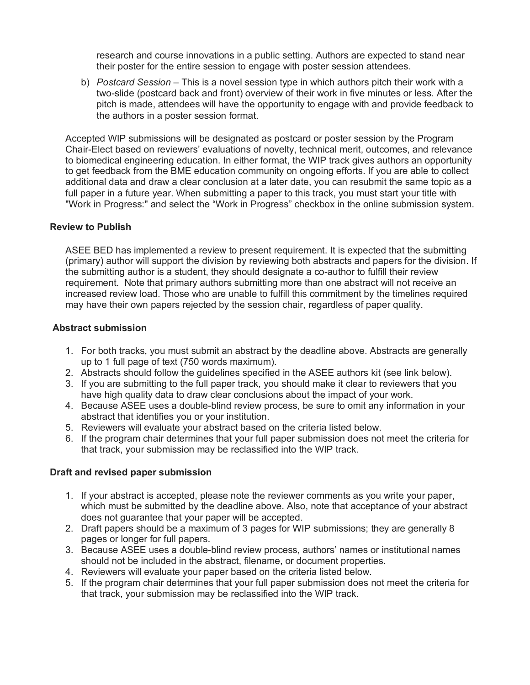research and course innovations in a public setting. Authors are expected to stand near their poster for the entire session to engage with poster session attendees.

b) *Postcard Session* – This is a novel session type in which authors pitch their work with a two-slide (postcard back and front) overview of their work in five minutes or less. After the pitch is made, attendees will have the opportunity to engage with and provide feedback to the authors in a poster session format.

Accepted WIP submissions will be designated as postcard or poster session by the Program Chair-Elect based on reviewers' evaluations of novelty, technical merit, outcomes, and relevance to biomedical engineering education. In either format, the WIP track gives authors an opportunity to get feedback from the BME education community on ongoing efforts. If you are able to collect additional data and draw a clear conclusion at a later date, you can resubmit the same topic as a full paper in a future year. When submitting a paper to this track, you must start your title with "Work in Progress:" and select the "Work in Progress" checkbox in the online submission system.

#### **Review to Publish**

ASEE BED has implemented a review to present requirement. It is expected that the submitting (primary) author will support the division by reviewing both abstracts and papers for the division. If the submitting author is a student, they should designate a co-author to fulfill their review requirement. Note that primary authors submitting more than one abstract will not receive an increased review load. Those who are unable to fulfill this commitment by the timelines required may have their own papers rejected by the session chair, regardless of paper quality.

#### **Abstract submission**

- 1. For both tracks, you must submit an abstract by the deadline above. Abstracts are generally up to 1 full page of text (750 words maximum).
- 2. Abstracts should follow the guidelines specified in the ASEE authors kit (see link below).
- 3. If you are submitting to the full paper track, you should make it clear to reviewers that you have high quality data to draw clear conclusions about the impact of your work.
- 4. Because ASEE uses a double-blind review process, be sure to omit any information in your abstract that identifies you or your institution.
- 5. Reviewers will evaluate your abstract based on the criteria listed below.
- 6. If the program chair determines that your full paper submission does not meet the criteria for that track, your submission may be reclassified into the WIP track.

#### **Draft and revised paper submission**

- 1. If your abstract is accepted, please note the reviewer comments as you write your paper, which must be submitted by the deadline above. Also, note that acceptance of your abstract does not guarantee that your paper will be accepted.
- 2. Draft papers should be a maximum of 3 pages for WIP submissions; they are generally 8 pages or longer for full papers.
- 3. Because ASEE uses a double-blind review process, authors' names or institutional names should not be included in the abstract, filename, or document properties.
- 4. Reviewers will evaluate your paper based on the criteria listed below.
- 5. If the program chair determines that your full paper submission does not meet the criteria for that track, your submission may be reclassified into the WIP track.